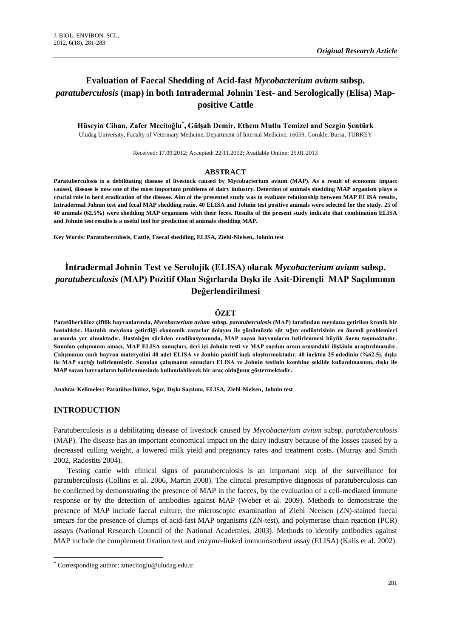# **Evaluation of Faecal Shedding of Acid-fast** *Mycobacterium avium* **subsp.**  *paratuberculosis* **(map) in both Intradermal Johnin Test- and Serologically (Elisa) Mappositive Cattle**

**Hüseyin Cihan, Zafer Mecitoğlu\* , Gülşah Demir, Ethem Mutlu Temizel and Sezgin Şentürk** Uludag University, Faculty of Veterinary Medicine, Department of Internal Medicine, 16059, Gorukle, Bursa, TURKEY

Received: 17.09.2012; Accepted: 22.11.2012; Available Online: 25.01.2013

#### **ABSTRACT**

**Paratuberculosis is a debilitating disease of livestock caused by Mycobacterium avium (MAP). As a result of economic impact caused, disease is now one of the most important problems of dairy industry. Detection of animals shedding MAP organism plays a crucial role in herd eradication of the disease. Aim of the presented study was to evaluate relationship between MAP ELISA results, Intradermal Johnin test and fecal MAP shedding ratio. 40 ELISA and Johnin test positive animals were selected for the study. 25 of 40 animals (62.5%) were shedding MAP organisms with their feces. Results of the present study indicate that combination ELISA and Johnin test results is a useful tool for prediction of animals shedding MAP.** 

**Key Words: Paratuberculosis, Cattle, Faecal shedding, ELISA, Ziehl-Nielsen, Johnin test**

# **İntradermal Johnin Test ve Serolojik (ELISA) olarak** *Mycobacterium avium* **subsp.**  *paratuberculosis* **(MAP) Pozitif Olan Sığırlarda Dışkı ile Asit-Dirençli MAP Saçılımının Değerlendirilmesi**

#### **ÖZET**

**Paratüberküloz çiftlik hayvanlarında,** *Mycobacterium avium* **subsp.** *paratuberculosis* **(MAP) tarafından meydana getirilen kronik bir hastalıktır. Hastalık meydana getirdiği ekonomik zararlar dolayısı ile günümüzde süt sığırı endüstrisinin en önemli problemleri arasında yer almaktadır. Hastalığın sürüden eradikasyonunda, MAP saçan hayvanların belirlenmesi büyük önem taşımaktadır. Sunulan çalışmanın amacı, MAP ELISA sonuçları, deri içi Johnin testi ve MAP saçılım oranı arasındaki ilişkinin araştırılmasıdır. Çalışmanın canlı hayvan materyalini 40 adet ELISA ve Jonhin pozitif inek oluşturmaktadır. 40 inekten 25 adedinin (%62.5), dışkı ile MAP saçtığı belirlenmiştir. Sunulan çalışmanın sonuçları ELISA ve Johnin testinin kombine şekilde kullanılmasının, dışkı ile MAP saçan hayvanların belirlenmesinde kullanılabilecek bir araç olduğunu göstermektedir.** 

**Anahtar Kelimeler: Paratüberlküloz, Sığır, Dışkı Saçılımı, ELISA, Ziehl-Nielsen, Johnin test**

#### **INTRODUCTION**

**.** 

Paratuberculosis is a debilitating disease of livestock caused by *Mycobacterium avium* subsp. *paratuberculosis* (MAP). The disease has an important economical impact on the dairy industry because of the losses caused by a decreased culling weight, a lowered milk yield and pregnancy rates and treatment costs. (Murray and Smith 2002, Radostits 2004).

Testing cattle with clinical signs of paratuberculosis is an important step of the surveillance for paratuberculosis (Collins et al. 2006, Martin 2008). The clinical presumptive diagnosis of paratuberculosis can be confirmed by demonstrating the presence of MAP in the faeces, by the evaluation of a cell-mediated immune response or by the detection of antibodies against MAP (Weber et al. 2009). Methods to demonstrate the presence of MAP include faecal culture, the microscopic examination of Ziehl–Neelsen (ZN)-stained faecal smears for the presence of clumps of acid-fast MAP organisms (ZN-test), and polymerase chain reaction (PCR) assays (National Research Council of the National Academies, 2003). Methods to identify antibodies against MAP include the complement fixation test and enzyme-linked immunosorbent assay (ELISA) (Kalis et al. 2002).

<sup>\*</sup> Corresponding author: zmecitoglu@uludag.edu.tr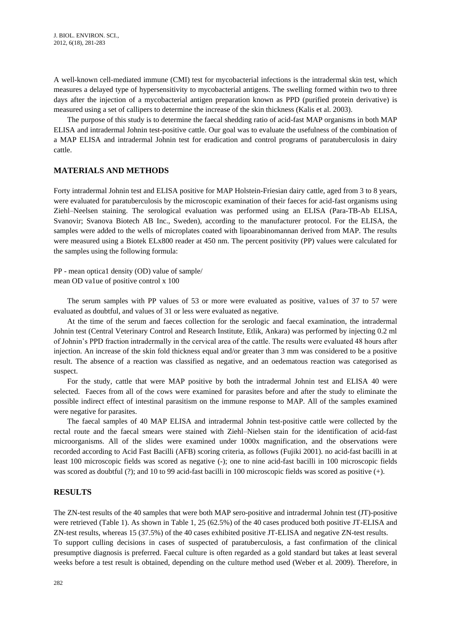A well-known cell-mediated immune (CMI) test for mycobacterial infections is the intradermal skin test, which measures a delayed type of hypersensitivity to mycobacterial antigens. The swelling formed within two to three days after the injection of a mycobacterial antigen preparation known as PPD (purified protein derivative) is measured using a set of callipers to determine the increase of the skin thickness (Kalis et al. 2003).

The purpose of this study is to determine the faecal shedding ratio of acid-fast MAP organisms in both MAP ELISA and intradermal Johnin test-positive cattle. Our goal was to evaluate the usefulness of the combination of a MAP ELISA and intradermal Johnin test for eradication and control programs of paratuberculosis in dairy cattle.

## **MATERIALS AND METHODS**

Forty intradermal Johnin test and ELISA positive for MAP Holstein-Friesian dairy cattle, aged from 3 to 8 years, were evaluated for paratuberculosis by the microscopic examination of their faeces for acid-fast organisms using Ziehl–Neelsen staining. The serological evaluation was performed using an ELISA (Para-TB-Ab ELISA, Svanovir; Svanova Biotech AB Inc., Sweden), according to the manufacturer protocol. For the ELISA, the samples were added to the wells of microplates coated with lipoarabinomannan derived from MAP. The results were measured using a Biotek ELx800 reader at 450 nm. The percent positivity (PP) values were calculated for the samples using the following formula:

PP - mean optica1 density (OD) value of sample/ mean OD va1ue of positive control x 100

The serum samples with PP values of 53 or more were evaluated as positive, va1ues of 37 to 57 were evaluated as doubtful, and values of 31 or less were evaluated as negative.

At the time of the serum and faeces collection for the serologic and faecal examination, the intradermal Johnin test (Central Veterinary Control and Research Institute, Etlik, Ankara) was performed by injecting 0.2 ml of Johnin's PPD fraction intradermally in the cervical area of the cattle. The results were evaluated 48 hours after injection. An increase of the skin fold thickness equal and/or greater than 3 mm was considered to be a positive result. The absence of a reaction was classified as negative, and an oedematous reaction was categorised as suspect.

For the study, cattle that were MAP positive by both the intradermal Johnin test and ELISA 40 were selected. Faeces from all of the cows were examined for parasites before and after the study to eliminate the possible indirect effect of intestinal parasitism on the immune response to MAP. All of the samples examined were negative for parasites.

The faecal samples of 40 MAP ELISA and intradermal Johnin test-positive cattle were collected by the rectal route and the faecal smears were stained with Ziehl–Nielsen stain for the identification of acid-fast microorganisms. All of the slides were examined under 1000x magnification, and the observations were recorded according to Acid Fast Bacilli (AFB) scoring criteria, as follows (Fujiki 2001). no acid-fast bacilli in at least 100 microscopic fields was scored as negative (-); one to nine acid-fast bacilli in 100 microscopic fields was scored as doubtful (?); and 10 to 99 acid-fast bacilli in 100 microscopic fields was scored as positive (+).

### **RESULTS**

The ZN-test results of the 40 samples that were both MAP sero-positive and intradermal Johnin test (JT)-positive were retrieved (Table 1). As shown in Table 1, 25 (62.5%) of the 40 cases produced both positive JT-ELISA and ZN-test results, whereas 15 (37.5%) of the 40 cases exhibited positive JT-ELISA and negative ZN-test results. To support culling decisions in cases of suspected of paratuberculosis, a fast confirmation of the clinical presumptive diagnosis is preferred. Faecal culture is often regarded as a gold standard but takes at least several weeks before a test result is obtained, depending on the culture method used (Weber et al. 2009). Therefore, in